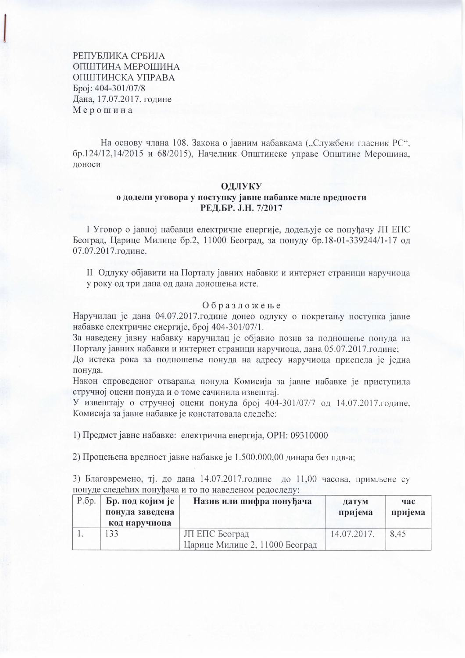РЕПУБЛИКА СРБИЈА ОПШТИНА МЕРОШИНА ОПШТИНСКА УПРАВА Број: 404-301/07/8 Дана, 17.07.2017. године Мерошина

На основу члана 108. Закона о јавним набавкама ("Службени гласник РС", бр.124/12,14/2015 и 68/2015), Начелник Општинске управе Општине Мерошина, доноси

#### ОЛЛУКУ

### о додели уговора у поступку јавне набавке мале вредности РЕД.БР. Ј.Н. 7/2017

І Уговор о јавној набавци електричне енергије, додељује се понуђачу ЈП ЕПС Београд, Царице Милице бр.2, 11000 Београд, за понуду бр.18-01-339244/1-17 од 07.07.2017.године.

II Одлуку објавити на Порталу јавних набавки и интернет страници наручиоца у року од три дана од дана доношења исте.

#### Образложење

Наручилац је дана 04.07.2017.године донео одлуку о покретању поступка јавне набавке електричне енергије, број 404-301/07/1.

За наведену јавну набавку наручилац је објавио позив за подношење понуда на Порталу јавних набавки и интернет страници наручиоца, дана 05.07.2017.године;

До истека рока за подношење понуда на адресу наручиоца приспела је једна понуда.

Након спроведеног отварања понуда Комисија за јавне набавке је приступила стручној оцени понуда и о томе сачинила извештај.

У извештају о стручној оцени понуда број 404-301/07/7 од 14.07.2017.године, Комисија за јавне набавке је констатовала следеће:

1) Предмет јавне набавке: електрична енергија, ОРН: 09310000

2) Процењена вредност јавне набавке је 1.500.000,00 динара без пдв-а;

3) Благовремено, тј. до дана 14.07.2017.године до 11.00 часова, примљене су понуде следећих понуђача и то по наведеном редоследу:

| Р.бр.   <b>Бр. под којим је</b><br>понуда заведена<br>код наручиоца | Назив или шифра понуђача                         | датум<br>пријема | час<br>пријема |
|---------------------------------------------------------------------|--------------------------------------------------|------------------|----------------|
| 33                                                                  | ЈП ЕПС Београд<br>Царице Милице 2, 11000 Београд | 14.07.2017.      | 8.45           |